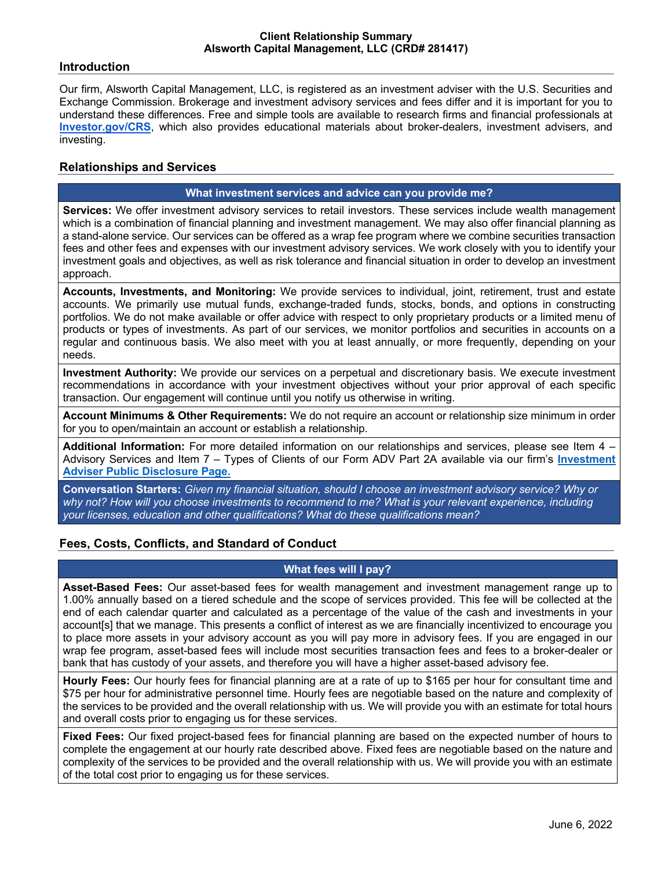### **Introduction**

Our firm, Alsworth Capital Management, LLC, is registered as an investment adviser with the U.S. Securities and Exchange Commission. Brokerage and investment advisory services and fees differ and it is important for you to understand these differences. Free and simple tools are available to research firms and financial professionals at **Investor.gov/CRS**, which also provides educational materials about broker-dealers, investment advisers, and investing.

## **Relationships and Services**

# **What investment services and advice can you provide me?**

**Services:** We offer investment advisory services to retail investors. These services include wealth management which is a combination of financial planning and investment management. We may also offer financial planning as a stand-alone service. Our services can be offered as a wrap fee program where we combine securities transaction fees and other fees and expenses with our investment advisory services. We work closely with you to identify your investment goals and objectives, as well as risk tolerance and financial situation in order to develop an investment approach.

**Accounts, Investments, and Monitoring:** We provide services to individual, joint, retirement, trust and estate accounts. We primarily use mutual funds, exchange-traded funds, stocks, bonds, and options in constructing portfolios. We do not make available or offer advice with respect to only proprietary products or a limited menu of products or types of investments. As part of our services, we monitor portfolios and securities in accounts on a regular and continuous basis. We also meet with you at least annually, or more frequently, depending on your needs.

**Investment Authority:** We provide our services on a perpetual and discretionary basis. We execute investment recommendations in accordance with your investment objectives without your prior approval of each specific transaction. Our engagement will continue until you notify us otherwise in writing.

**Account Minimums & Other Requirements:** We do not require an account or relationship size minimum in order for you to open/maintain an account or establish a relationship.

**Additional Information:** For more detailed information on our relationships and services, please see Item 4 – Advisory Services and Item 7 – Types of Clients of our Form ADV Part 2A available via our firm's **Investment Adviser Public Disclosure Page.**

**Conversation Starters:** *Given my financial situation, should I choose an investment advisory service? Why or why not? How will you choose investments to recommend to me? What is your relevant experience, including your licenses, education and other qualifications? What do these qualifications mean?*

# **Fees, Costs, Conflicts, and Standard of Conduct**

## **What fees will I pay?**

**Asset-Based Fees:** Our asset-based fees for wealth management and investment management range up to 1.00% annually based on a tiered schedule and the scope of services provided. This fee will be collected at the end of each calendar quarter and calculated as a percentage of the value of the cash and investments in your account[s] that we manage. This presents a conflict of interest as we are financially incentivized to encourage you to place more assets in your advisory account as you will pay more in advisory fees. If you are engaged in our wrap fee program, asset-based fees will include most securities transaction fees and fees to a broker-dealer or bank that has custody of your assets, and therefore you will have a higher asset-based advisory fee.

**Hourly Fees:** Our hourly fees for financial planning are at a rate of up to \$165 per hour for consultant time and \$75 per hour for administrative personnel time. Hourly fees are negotiable based on the nature and complexity of the services to be provided and the overall relationship with us. We will provide you with an estimate for total hours and overall costs prior to engaging us for these services.

**Fixed Fees:** Our fixed project-based fees for financial planning are based on the expected number of hours to complete the engagement at our hourly rate described above. Fixed fees are negotiable based on the nature and complexity of the services to be provided and the overall relationship with us. We will provide you with an estimate of the total cost prior to engaging us for these services.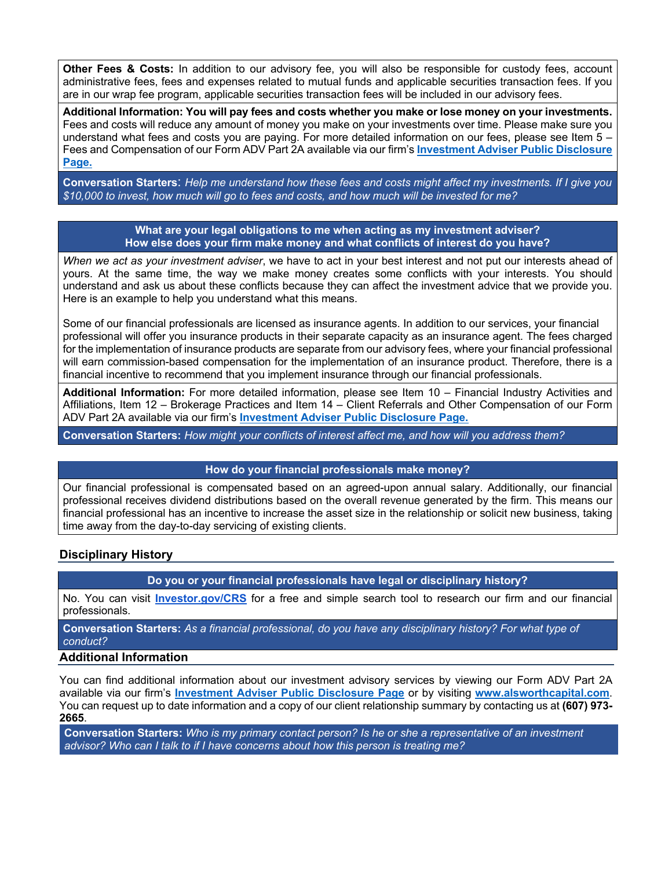**Other Fees & Costs:** In addition to our advisory fee, you will also be responsible for custody fees, account administrative fees, fees and expenses related to mutual funds and applicable securities transaction fees. If you are in our wrap fee program, applicable securities transaction fees will be included in our advisory fees.

**Additional Information: You will pay fees and costs whether you make or lose money on your investments.**  Fees and costs will reduce any amount of money you make on your investments over time. Please make sure you understand what fees and costs you are paying. For more detailed information on our fees, please see Item 5 – Fees and Compensation of our Form ADV Part 2A available via our firm's **Investment Adviser Public Disclosure Page.**

**Conversation Starters**: *Help me understand how these fees and costs might affect my investments. If I give you \$10,000 to invest, how much will go to fees and costs, and how much will be invested for me?*

#### **What are your legal obligations to me when acting as my investment adviser? How else does your firm make money and what conflicts of interest do you have?**

*When we act as your investment adviser*, we have to act in your best interest and not put our interests ahead of yours. At the same time, the way we make money creates some conflicts with your interests. You should understand and ask us about these conflicts because they can affect the investment advice that we provide you. Here is an example to help you understand what this means.

Some of our financial professionals are licensed as insurance agents. In addition to our services, your financial professional will offer you insurance products in their separate capacity as an insurance agent. The fees charged for the implementation of insurance products are separate from our advisory fees, where your financial professional will earn commission-based compensation for the implementation of an insurance product. Therefore, there is a financial incentive to recommend that you implement insurance through our financial professionals.

**Additional Information:** For more detailed information, please see Item 10 – Financial Industry Activities and Affiliations, Item 12 – Brokerage Practices and Item 14 – Client Referrals and Other Compensation of our Form ADV Part 2A available via our firm's **Investment Adviser Public Disclosure Page.**

**Conversation Starters:** *How might your conflicts of interest affect me, and how will you address them?*

#### **How do your financial professionals make money?**

Our financial professional is compensated based on an agreed-upon annual salary. Additionally, our financial professional receives dividend distributions based on the overall revenue generated by the firm. This means our financial professional has an incentive to increase the asset size in the relationship or solicit new business, taking time away from the day-to-day servicing of existing clients.

# **Disciplinary History**

**Do you or your financial professionals have legal or disciplinary history?**

No. You can visit **Investor.gov/CRS** for a free and simple search tool to research our firm and our financial professionals.

**Conversation Starters:** *As a financial professional, do you have any disciplinary history? For what type of conduct?*

# **Additional Information**

You can find additional information about our investment advisory services by viewing our Form ADV Part 2A available via our firm's **Investment Adviser Public Disclosure Page** or by visiting **www.alsworthcapital.com**. You can request up to date information and a copy of our client relationship summary by contacting us at **(607) 973- 2665**.

**Conversation Starters:** *Who is my primary contact person? Is he or she a representative of an investment advisor? Who can I talk to if I have concerns about how this person is treating me?*